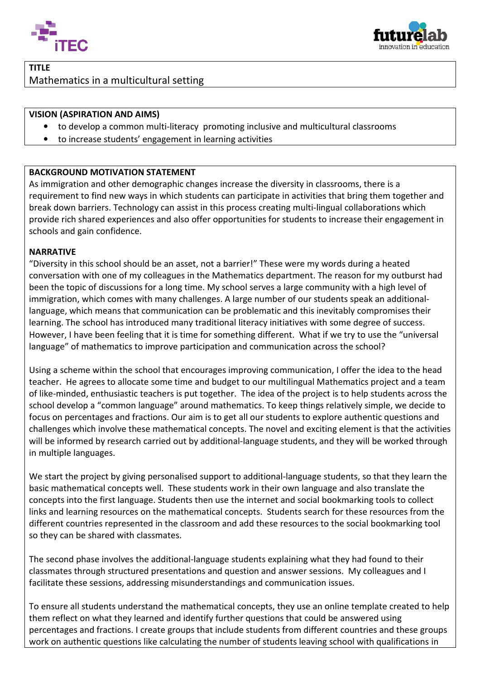



# TITLE Mathematics in a multicultural setting

### VISION (ASPIRATION AND AIMS)

- to develop a common multi-literacy promoting inclusive and multicultural classrooms
- to increase students' engagement in learning activities

### BACKGROUND MOTIVATION STATEMENT

As immigration and other demographic changes increase the diversity in classrooms, there is a requirement to find new ways in which students can participate in activities that bring them together and break down barriers. Technology can assist in this process creating multi-lingual collaborations which provide rich shared experiences and also offer opportunities for students to increase their engagement in schools and gain confidence.

#### NARRATIVE

"Diversity in this school should be an asset, not a barrier!" These were my words during a heated conversation with one of my colleagues in the Mathematics department. The reason for my outburst had been the topic of discussions for a long time. My school serves a large community with a high level of immigration, which comes with many challenges. A large number of our students speak an additionallanguage, which means that communication can be problematic and this inevitably compromises their learning. The school has introduced many traditional literacy initiatives with some degree of success. However, I have been feeling that it is time for something different. What if we try to use the "universal language" of mathematics to improve participation and communication across the school?

Using a scheme within the school that encourages improving communication, I offer the idea to the head teacher. He agrees to allocate some time and budget to our multilingual Mathematics project and a team of like-minded, enthusiastic teachers is put together. The idea of the project is to help students across the school develop a "common language" around mathematics. To keep things relatively simple, we decide to focus on percentages and fractions. Our aim is to get all our students to explore authentic questions and challenges which involve these mathematical concepts. The novel and exciting element is that the activities will be informed by research carried out by additional-language students, and they will be worked through in multiple languages.

We start the project by giving personalised support to additional-language students, so that they learn the basic mathematical concepts well. These students work in their own language and also translate the concepts into the first language. Students then use the internet and social bookmarking tools to collect links and learning resources on the mathematical concepts. Students search for these resources from the different countries represented in the classroom and add these resources to the social bookmarking tool so they can be shared with classmates.

The second phase involves the additional-language students explaining what they had found to their classmates through structured presentations and question and answer sessions. My colleagues and I facilitate these sessions, addressing misunderstandings and communication issues.

To ensure all students understand the mathematical concepts, they use an online template created to help them reflect on what they learned and identify further questions that could be answered using percentages and fractions. I create groups that include students from different countries and these groups work on authentic questions like calculating the number of students leaving school with qualifications in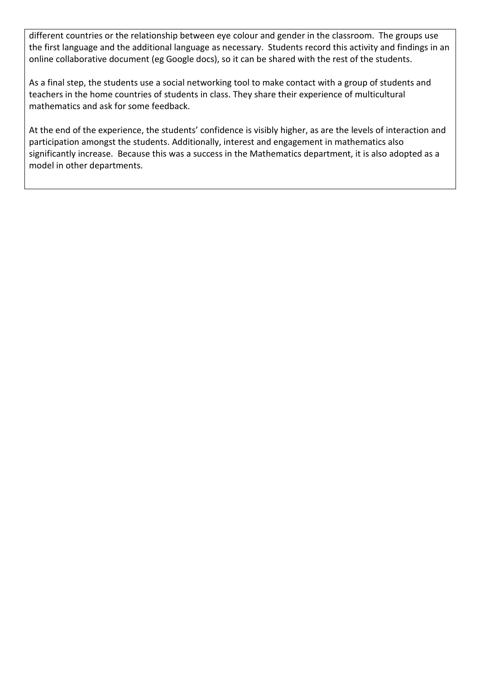different countries or the relationship between eye colour and gender in the classroom. The groups use the first language and the additional language as necessary. Students record this activity and findings in an online collaborative document (eg Google docs), so it can be shared with the rest of the students.

As a final step, the students use a social networking tool to make contact with a group of students and teachers in the home countries of students in class. They share their experience of multicultural mathematics and ask for some feedback.

At the end of the experience, the students' confidence is visibly higher, as are the levels of interaction and participation amongst the students. Additionally, interest and engagement in mathematics also significantly increase. Because this was a success in the Mathematics department, it is also adopted as a model in other departments.